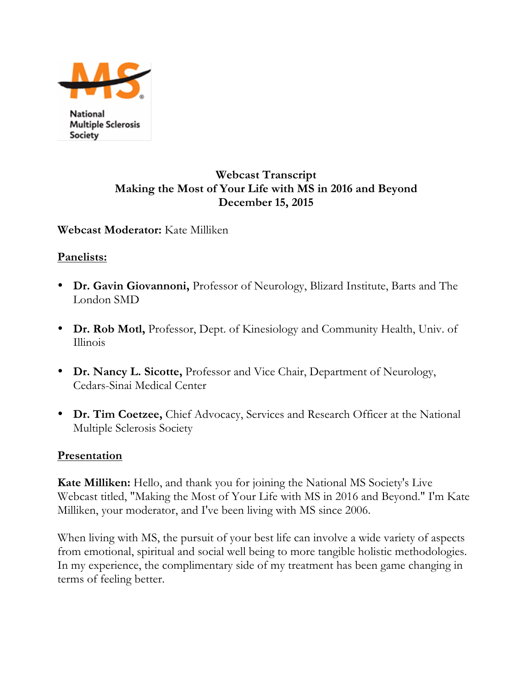

National **Multiple Sclerosis** Society

# **Webcast Transcript Making the Most of Your Life with MS in 2016 and Beyond December 15, 2015**

**Webcast Moderator:** Kate Milliken

### **Panelists:**

- **Dr. Gavin Giovannoni,** Professor of Neurology, Blizard Institute, Barts and The London SMD
- **Dr. Rob Motl,** Professor, Dept. of Kinesiology and Community Health, Univ. of Illinois
- **Dr. Nancy L. Sicotte,** Professor and Vice Chair, Department of Neurology, Cedars-Sinai Medical Center
- **Dr. Tim Coetzee,** Chief Advocacy, Services and Research Officer at the National Multiple Sclerosis Society

### **Presentation**

**Kate Milliken:** Hello, and thank you for joining the National MS Society's Live Webcast titled, "Making the Most of Your Life with MS in 2016 and Beyond." I'm Kate Milliken, your moderator, and I've been living with MS since 2006.

When living with MS, the pursuit of your best life can involve a wide variety of aspects from emotional, spiritual and social well being to more tangible holistic methodologies. In my experience, the complimentary side of my treatment has been game changing in terms of feeling better.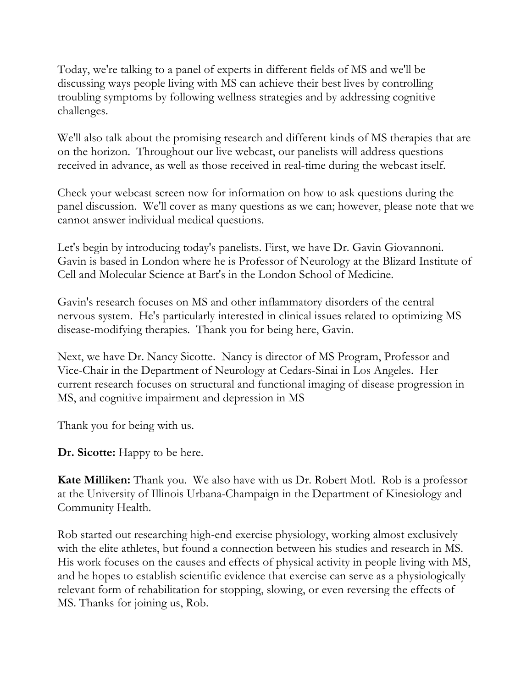Today, we're talking to a panel of experts in different fields of MS and we'll be discussing ways people living with MS can achieve their best lives by controlling troubling symptoms by following wellness strategies and by addressing cognitive challenges.

We'll also talk about the promising research and different kinds of MS therapies that are on the horizon. Throughout our live webcast, our panelists will address questions received in advance, as well as those received in real-time during the webcast itself.

Check your webcast screen now for information on how to ask questions during the panel discussion. We'll cover as many questions as we can; however, please note that we cannot answer individual medical questions.

Let's begin by introducing today's panelists. First, we have Dr. Gavin Giovannoni. Gavin is based in London where he is Professor of Neurology at the Blizard Institute of Cell and Molecular Science at Bart's in the London School of Medicine.

Gavin's research focuses on MS and other inflammatory disorders of the central nervous system. He's particularly interested in clinical issues related to optimizing MS disease-modifying therapies. Thank you for being here, Gavin.

Next, we have Dr. Nancy Sicotte. Nancy is director of MS Program, Professor and Vice-Chair in the Department of Neurology at Cedars-Sinai in Los Angeles. Her current research focuses on structural and functional imaging of disease progression in MS, and cognitive impairment and depression in MS

Thank you for being with us.

**Dr. Sicotte:** Happy to be here.

**Kate Milliken:** Thank you. We also have with us Dr. Robert Motl. Rob is a professor at the University of Illinois Urbana-Champaign in the Department of Kinesiology and Community Health.

Rob started out researching high-end exercise physiology, working almost exclusively with the elite athletes, but found a connection between his studies and research in MS. His work focuses on the causes and effects of physical activity in people living with MS, and he hopes to establish scientific evidence that exercise can serve as a physiologically relevant form of rehabilitation for stopping, slowing, or even reversing the effects of MS. Thanks for joining us, Rob.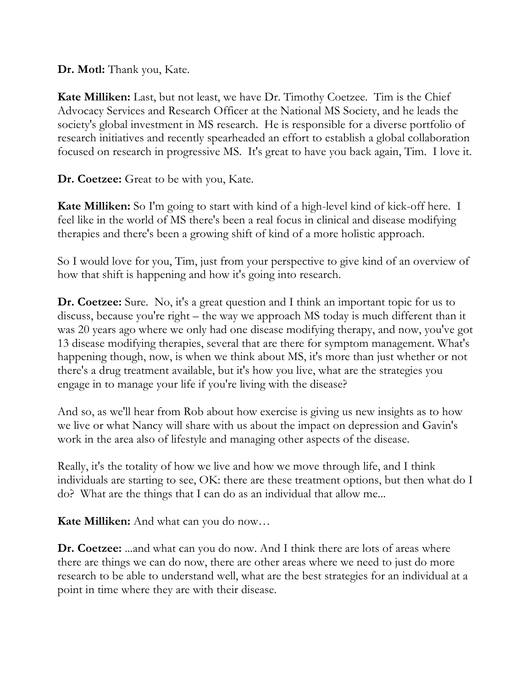**Dr. Motl:** Thank you, Kate.

**Kate Milliken:** Last, but not least, we have Dr. Timothy Coetzee. Tim is the Chief Advocacy Services and Research Officer at the National MS Society, and he leads the society's global investment in MS research. He is responsible for a diverse portfolio of research initiatives and recently spearheaded an effort to establish a global collaboration focused on research in progressive MS. It's great to have you back again, Tim. I love it.

**Dr. Coetzee:** Great to be with you, Kate.

**Kate Milliken:** So I'm going to start with kind of a high-level kind of kick-off here. I feel like in the world of MS there's been a real focus in clinical and disease modifying therapies and there's been a growing shift of kind of a more holistic approach.

So I would love for you, Tim, just from your perspective to give kind of an overview of how that shift is happening and how it's going into research.

**Dr. Coetzee:** Sure. No, it's a great question and I think an important topic for us to discuss, because you're right – the way we approach MS today is much different than it was 20 years ago where we only had one disease modifying therapy, and now, you've got 13 disease modifying therapies, several that are there for symptom management. What's happening though, now, is when we think about MS, it's more than just whether or not there's a drug treatment available, but it's how you live, what are the strategies you engage in to manage your life if you're living with the disease?

And so, as we'll hear from Rob about how exercise is giving us new insights as to how we live or what Nancy will share with us about the impact on depression and Gavin's work in the area also of lifestyle and managing other aspects of the disease.

Really, it's the totality of how we live and how we move through life, and I think individuals are starting to see, OK: there are these treatment options, but then what do I do? What are the things that I can do as an individual that allow me...

**Kate Milliken:** And what can you do now…

**Dr. Coetzee:** ...and what can you do now. And I think there are lots of areas where there are things we can do now, there are other areas where we need to just do more research to be able to understand well, what are the best strategies for an individual at a point in time where they are with their disease.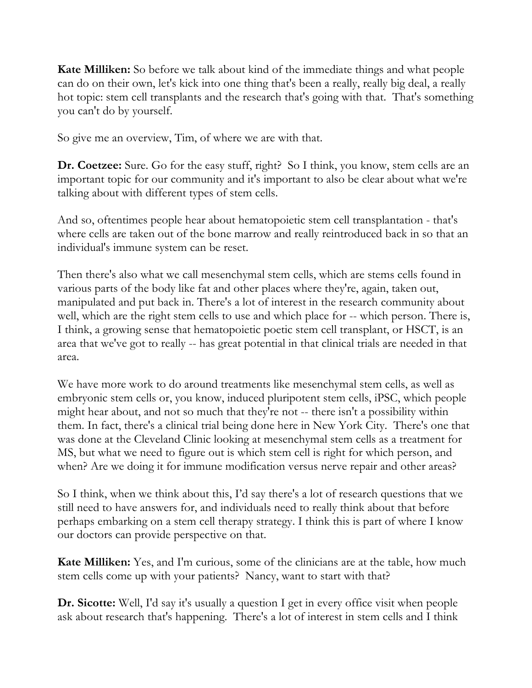**Kate Milliken:** So before we talk about kind of the immediate things and what people can do on their own, let's kick into one thing that's been a really, really big deal, a really hot topic: stem cell transplants and the research that's going with that. That's something you can't do by yourself.

So give me an overview, Tim, of where we are with that.

**Dr. Coetzee:** Sure. Go for the easy stuff, right? So I think, you know, stem cells are an important topic for our community and it's important to also be clear about what we're talking about with different types of stem cells.

And so, oftentimes people hear about hematopoietic stem cell transplantation - that's where cells are taken out of the bone marrow and really reintroduced back in so that an individual's immune system can be reset.

Then there's also what we call mesenchymal stem cells, which are stems cells found in various parts of the body like fat and other places where they're, again, taken out, manipulated and put back in. There's a lot of interest in the research community about well, which are the right stem cells to use and which place for -- which person. There is, I think, a growing sense that hematopoietic poetic stem cell transplant, or HSCT, is an area that we've got to really -- has great potential in that clinical trials are needed in that area.

We have more work to do around treatments like mesenchymal stem cells, as well as embryonic stem cells or, you know, induced pluripotent stem cells, iPSC, which people might hear about, and not so much that they're not -- there isn't a possibility within them. In fact, there's a clinical trial being done here in New York City. There's one that was done at the Cleveland Clinic looking at mesenchymal stem cells as a treatment for MS, but what we need to figure out is which stem cell is right for which person, and when? Are we doing it for immune modification versus nerve repair and other areas?

So I think, when we think about this, I'd say there's a lot of research questions that we still need to have answers for, and individuals need to really think about that before perhaps embarking on a stem cell therapy strategy. I think this is part of where I know our doctors can provide perspective on that.

**Kate Milliken:** Yes, and I'm curious, some of the clinicians are at the table, how much stem cells come up with your patients? Nancy, want to start with that?

**Dr. Sicotte:** Well, I'd say it's usually a question I get in every office visit when people ask about research that's happening. There's a lot of interest in stem cells and I think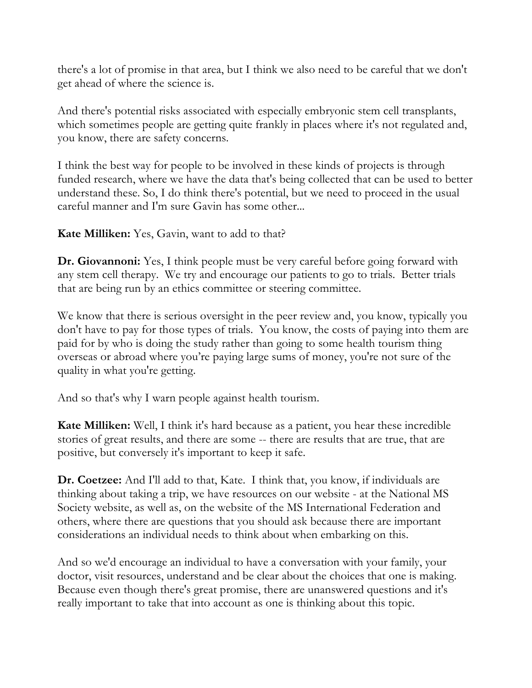there's a lot of promise in that area, but I think we also need to be careful that we don't get ahead of where the science is.

And there's potential risks associated with especially embryonic stem cell transplants, which sometimes people are getting quite frankly in places where it's not regulated and, you know, there are safety concerns.

I think the best way for people to be involved in these kinds of projects is through funded research, where we have the data that's being collected that can be used to better understand these. So, I do think there's potential, but we need to proceed in the usual careful manner and I'm sure Gavin has some other...

**Kate Milliken:** Yes, Gavin, want to add to that?

**Dr. Giovannoni:** Yes, I think people must be very careful before going forward with any stem cell therapy. We try and encourage our patients to go to trials. Better trials that are being run by an ethics committee or steering committee.

We know that there is serious oversight in the peer review and, you know, typically you don't have to pay for those types of trials. You know, the costs of paying into them are paid for by who is doing the study rather than going to some health tourism thing overseas or abroad where you're paying large sums of money, you're not sure of the quality in what you're getting.

And so that's why I warn people against health tourism.

**Kate Milliken:** Well, I think it's hard because as a patient, you hear these incredible stories of great results, and there are some -- there are results that are true, that are positive, but conversely it's important to keep it safe.

**Dr. Coetzee:** And I'll add to that, Kate. I think that, you know, if individuals are thinking about taking a trip, we have resources on our website - at the National MS Society website, as well as, on the website of the MS International Federation and others, where there are questions that you should ask because there are important considerations an individual needs to think about when embarking on this.

And so we'd encourage an individual to have a conversation with your family, your doctor, visit resources, understand and be clear about the choices that one is making. Because even though there's great promise, there are unanswered questions and it's really important to take that into account as one is thinking about this topic.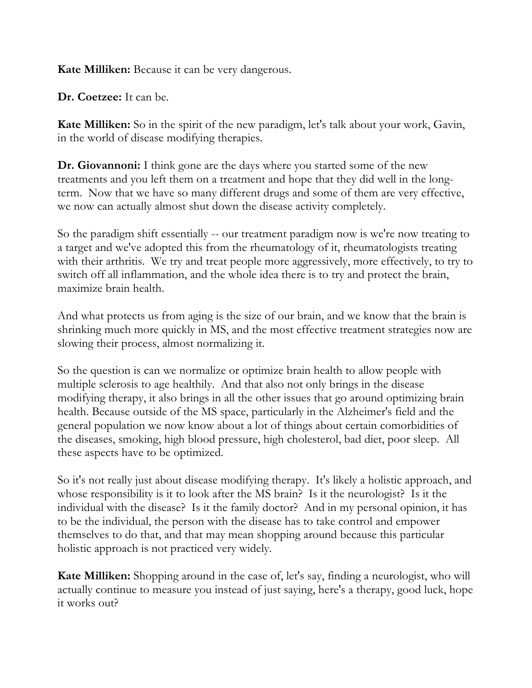**Kate Milliken:** Because it can be very dangerous.

**Dr. Coetzee:** It can be.

**Kate Milliken:** So in the spirit of the new paradigm, let's talk about your work, Gavin, in the world of disease modifying therapies.

**Dr. Giovannoni:** I think gone are the days where you started some of the new treatments and you left them on a treatment and hope that they did well in the longterm. Now that we have so many different drugs and some of them are very effective, we now can actually almost shut down the disease activity completely.

So the paradigm shift essentially -- our treatment paradigm now is we're now treating to a target and we've adopted this from the rheumatology of it, rheumatologists treating with their arthritis. We try and treat people more aggressively, more effectively, to try to switch off all inflammation, and the whole idea there is to try and protect the brain, maximize brain health.

And what protects us from aging is the size of our brain, and we know that the brain is shrinking much more quickly in MS, and the most effective treatment strategies now are slowing their process, almost normalizing it.

So the question is can we normalize or optimize brain health to allow people with multiple sclerosis to age healthily. And that also not only brings in the disease modifying therapy, it also brings in all the other issues that go around optimizing brain health. Because outside of the MS space, particularly in the Alzheimer's field and the general population we now know about a lot of things about certain comorbidities of the diseases, smoking, high blood pressure, high cholesterol, bad diet, poor sleep. All these aspects have to be optimized.

So it's not really just about disease modifying therapy. It's likely a holistic approach, and whose responsibility is it to look after the MS brain? Is it the neurologist? Is it the individual with the disease? Is it the family doctor? And in my personal opinion, it has to be the individual, the person with the disease has to take control and empower themselves to do that, and that may mean shopping around because this particular holistic approach is not practiced very widely.

**Kate Milliken:** Shopping around in the case of, let's say, finding a neurologist, who will actually continue to measure you instead of just saying, here's a therapy, good luck, hope it works out?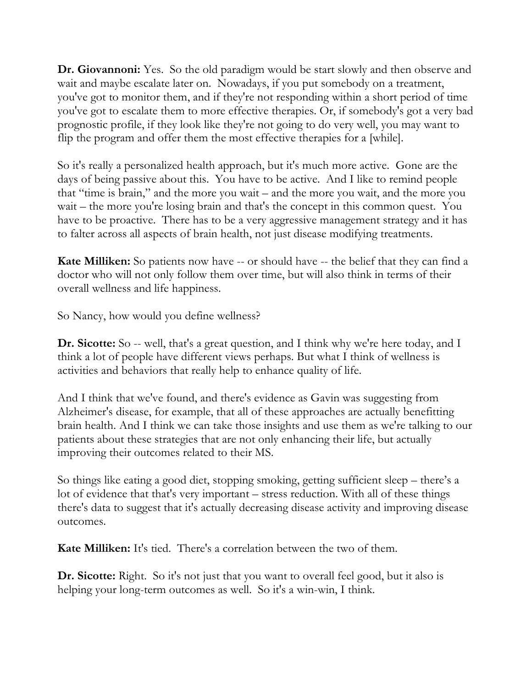**Dr. Giovannoni:** Yes. So the old paradigm would be start slowly and then observe and wait and maybe escalate later on. Nowadays, if you put somebody on a treatment, you've got to monitor them, and if they're not responding within a short period of time you've got to escalate them to more effective therapies. Or, if somebody's got a very bad prognostic profile, if they look like they're not going to do very well, you may want to flip the program and offer them the most effective therapies for a [while].

So it's really a personalized health approach, but it's much more active. Gone are the days of being passive about this. You have to be active. And I like to remind people that "time is brain," and the more you wait – and the more you wait, and the more you wait – the more you're losing brain and that's the concept in this common quest. You have to be proactive. There has to be a very aggressive management strategy and it has to falter across all aspects of brain health, not just disease modifying treatments.

**Kate Milliken:** So patients now have -- or should have -- the belief that they can find a doctor who will not only follow them over time, but will also think in terms of their overall wellness and life happiness.

So Nancy, how would you define wellness?

**Dr. Sicotte:** So -- well, that's a great question, and I think why we're here today, and I think a lot of people have different views perhaps. But what I think of wellness is activities and behaviors that really help to enhance quality of life.

And I think that we've found, and there's evidence as Gavin was suggesting from Alzheimer's disease, for example, that all of these approaches are actually benefitting brain health. And I think we can take those insights and use them as we're talking to our patients about these strategies that are not only enhancing their life, but actually improving their outcomes related to their MS.

So things like eating a good diet, stopping smoking, getting sufficient sleep – there's a lot of evidence that that's very important – stress reduction. With all of these things there's data to suggest that it's actually decreasing disease activity and improving disease outcomes.

**Kate Milliken:** It's tied. There's a correlation between the two of them.

**Dr. Sicotte:** Right. So it's not just that you want to overall feel good, but it also is helping your long-term outcomes as well. So it's a win-win, I think.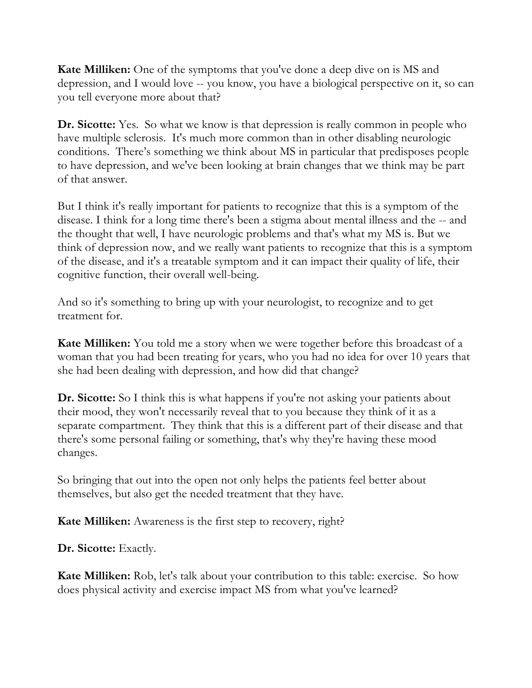**Kate Milliken:** One of the symptoms that you've done a deep dive on is MS and depression, and I would love -- you know, you have a biological perspective on it, so can you tell everyone more about that?

**Dr. Sicotte:** Yes. So what we know is that depression is really common in people who have multiple sclerosis. It's much more common than in other disabling neurologic conditions. There's something we think about MS in particular that predisposes people to have depression, and we've been looking at brain changes that we think may be part of that answer.

But I think it's really important for patients to recognize that this is a symptom of the disease. I think for a long time there's been a stigma about mental illness and the -- and the thought that well, I have neurologic problems and that's what my MS is. But we think of depression now, and we really want patients to recognize that this is a symptom of the disease, and it's a treatable symptom and it can impact their quality of life, their cognitive function, their overall well-being.

And so it's something to bring up with your neurologist, to recognize and to get treatment for.

**Kate Milliken:** You told me a story when we were together before this broadcast of a woman that you had been treating for years, who you had no idea for over 10 years that she had been dealing with depression, and how did that change?

**Dr. Sicotte:** So I think this is what happens if you're not asking your patients about their mood, they won't necessarily reveal that to you because they think of it as a separate compartment. They think that this is a different part of their disease and that there's some personal failing or something, that's why they're having these mood changes.

So bringing that out into the open not only helps the patients feel better about themselves, but also get the needed treatment that they have.

**Kate Milliken:** Awareness is the first step to recovery, right?

**Dr. Sicotte:** Exactly.

**Kate Milliken:** Rob, let's talk about your contribution to this table: exercise. So how does physical activity and exercise impact MS from what you've learned?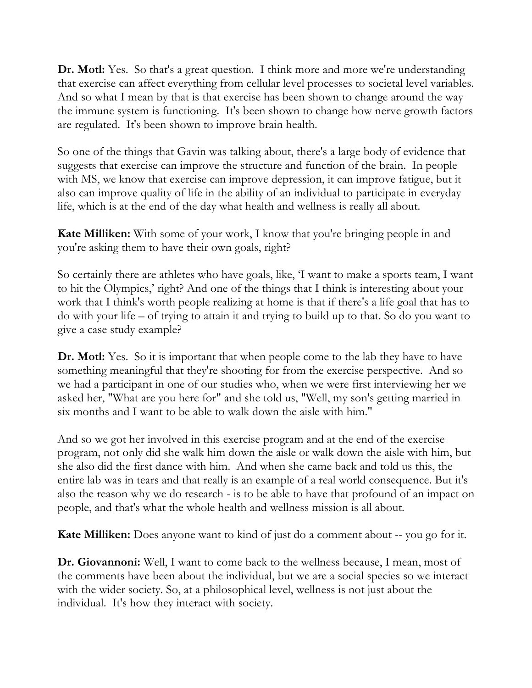**Dr. Motl:** Yes. So that's a great question. I think more and more we're understanding that exercise can affect everything from cellular level processes to societal level variables. And so what I mean by that is that exercise has been shown to change around the way the immune system is functioning. It's been shown to change how nerve growth factors are regulated. It's been shown to improve brain health.

So one of the things that Gavin was talking about, there's a large body of evidence that suggests that exercise can improve the structure and function of the brain. In people with MS, we know that exercise can improve depression, it can improve fatigue, but it also can improve quality of life in the ability of an individual to participate in everyday life, which is at the end of the day what health and wellness is really all about.

**Kate Milliken:** With some of your work, I know that you're bringing people in and you're asking them to have their own goals, right?

So certainly there are athletes who have goals, like, 'I want to make a sports team, I want to hit the Olympics,' right? And one of the things that I think is interesting about your work that I think's worth people realizing at home is that if there's a life goal that has to do with your life – of trying to attain it and trying to build up to that. So do you want to give a case study example?

**Dr. Motl:** Yes. So it is important that when people come to the lab they have to have something meaningful that they're shooting for from the exercise perspective. And so we had a participant in one of our studies who, when we were first interviewing her we asked her, "What are you here for" and she told us, "Well, my son's getting married in six months and I want to be able to walk down the aisle with him."

And so we got her involved in this exercise program and at the end of the exercise program, not only did she walk him down the aisle or walk down the aisle with him, but she also did the first dance with him. And when she came back and told us this, the entire lab was in tears and that really is an example of a real world consequence. But it's also the reason why we do research - is to be able to have that profound of an impact on people, and that's what the whole health and wellness mission is all about.

**Kate Milliken:** Does anyone want to kind of just do a comment about -- you go for it.

**Dr. Giovannoni:** Well, I want to come back to the wellness because, I mean, most of the comments have been about the individual, but we are a social species so we interact with the wider society. So, at a philosophical level, wellness is not just about the individual. It's how they interact with society.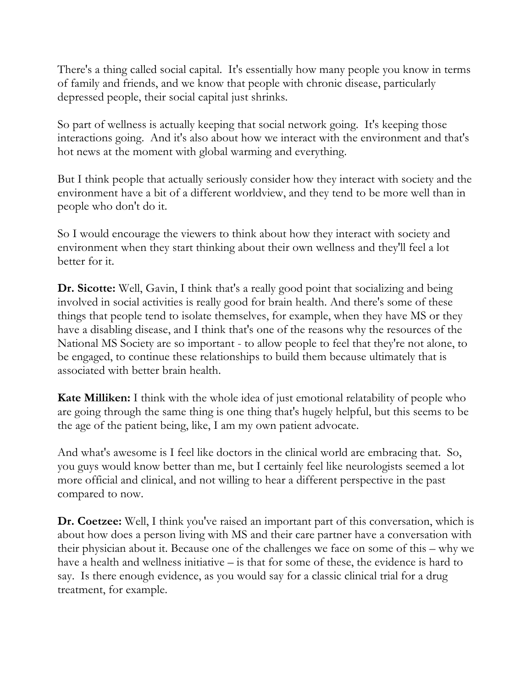There's a thing called social capital. It's essentially how many people you know in terms of family and friends, and we know that people with chronic disease, particularly depressed people, their social capital just shrinks.

So part of wellness is actually keeping that social network going. It's keeping those interactions going. And it's also about how we interact with the environment and that's hot news at the moment with global warming and everything.

But I think people that actually seriously consider how they interact with society and the environment have a bit of a different worldview, and they tend to be more well than in people who don't do it.

So I would encourage the viewers to think about how they interact with society and environment when they start thinking about their own wellness and they'll feel a lot better for it.

**Dr. Sicotte:** Well, Gavin, I think that's a really good point that socializing and being involved in social activities is really good for brain health. And there's some of these things that people tend to isolate themselves, for example, when they have MS or they have a disabling disease, and I think that's one of the reasons why the resources of the National MS Society are so important - to allow people to feel that they're not alone, to be engaged, to continue these relationships to build them because ultimately that is associated with better brain health.

**Kate Milliken:** I think with the whole idea of just emotional relatability of people who are going through the same thing is one thing that's hugely helpful, but this seems to be the age of the patient being, like, I am my own patient advocate.

And what's awesome is I feel like doctors in the clinical world are embracing that. So, you guys would know better than me, but I certainly feel like neurologists seemed a lot more official and clinical, and not willing to hear a different perspective in the past compared to now.

**Dr. Coetzee:** Well, I think you've raised an important part of this conversation, which is about how does a person living with MS and their care partner have a conversation with their physician about it. Because one of the challenges we face on some of this – why we have a health and wellness initiative – is that for some of these, the evidence is hard to say. Is there enough evidence, as you would say for a classic clinical trial for a drug treatment, for example.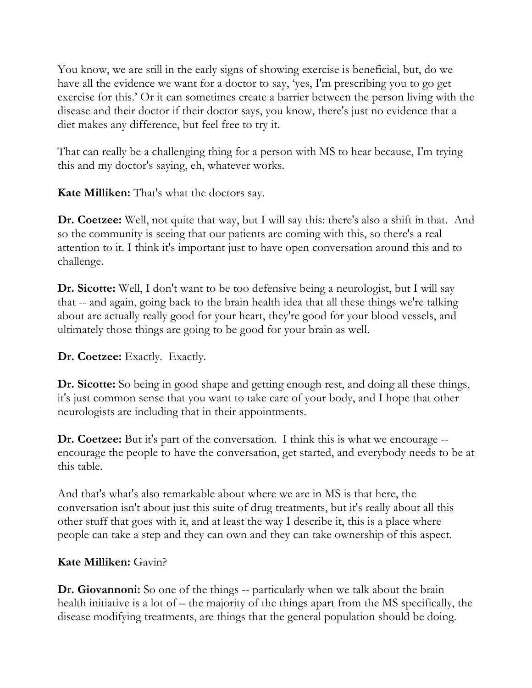You know, we are still in the early signs of showing exercise is beneficial, but, do we have all the evidence we want for a doctor to say, 'yes, I'm prescribing you to go get exercise for this.' Or it can sometimes create a barrier between the person living with the disease and their doctor if their doctor says, you know, there's just no evidence that a diet makes any difference, but feel free to try it.

That can really be a challenging thing for a person with MS to hear because, I'm trying this and my doctor's saying, eh, whatever works.

**Kate Milliken:** That's what the doctors say.

**Dr. Coetzee:** Well, not quite that way, but I will say this: there's also a shift in that. And so the community is seeing that our patients are coming with this, so there's a real attention to it. I think it's important just to have open conversation around this and to challenge.

**Dr. Sicotte:** Well, I don't want to be too defensive being a neurologist, but I will say that -- and again, going back to the brain health idea that all these things we're talking about are actually really good for your heart, they're good for your blood vessels, and ultimately those things are going to be good for your brain as well.

**Dr. Coetzee:** Exactly. Exactly.

**Dr. Sicotte:** So being in good shape and getting enough rest, and doing all these things, it's just common sense that you want to take care of your body, and I hope that other neurologists are including that in their appointments.

**Dr. Coetzee:** But it's part of the conversation. I think this is what we encourage - encourage the people to have the conversation, get started, and everybody needs to be at this table.

And that's what's also remarkable about where we are in MS is that here, the conversation isn't about just this suite of drug treatments, but it's really about all this other stuff that goes with it, and at least the way I describe it, this is a place where people can take a step and they can own and they can take ownership of this aspect.

## **Kate Milliken:** Gavin?

**Dr. Giovannoni:** So one of the things -- particularly when we talk about the brain health initiative is a lot of – the majority of the things apart from the MS specifically, the disease modifying treatments, are things that the general population should be doing.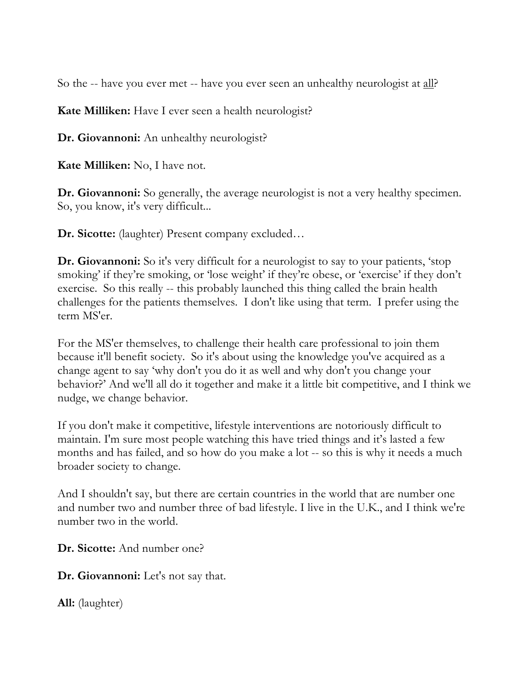So the -- have you ever met -- have you ever seen an unhealthy neurologist at all?

**Kate Milliken:** Have I ever seen a health neurologist?

**Dr. Giovannoni:** An unhealthy neurologist?

**Kate Milliken:** No, I have not.

**Dr. Giovannoni:** So generally, the average neurologist is not a very healthy specimen. So, you know, it's very difficult...

**Dr. Sicotte:** (laughter) Present company excluded…

**Dr. Giovannoni:** So it's very difficult for a neurologist to say to your patients, 'stop smoking' if they're smoking, or 'lose weight' if they're obese, or 'exercise' if they don't exercise. So this really -- this probably launched this thing called the brain health challenges for the patients themselves. I don't like using that term. I prefer using the term MS'er.

For the MS'er themselves, to challenge their health care professional to join them because it'll benefit society. So it's about using the knowledge you've acquired as a change agent to say 'why don't you do it as well and why don't you change your behavior?' And we'll all do it together and make it a little bit competitive, and I think we nudge, we change behavior.

If you don't make it competitive, lifestyle interventions are notoriously difficult to maintain. I'm sure most people watching this have tried things and it's lasted a few months and has failed, and so how do you make a lot -- so this is why it needs a much broader society to change.

And I shouldn't say, but there are certain countries in the world that are number one and number two and number three of bad lifestyle. I live in the U.K., and I think we're number two in the world.

**Dr. Sicotte:** And number one?

**Dr. Giovannoni:** Let's not say that.

**All:** (laughter)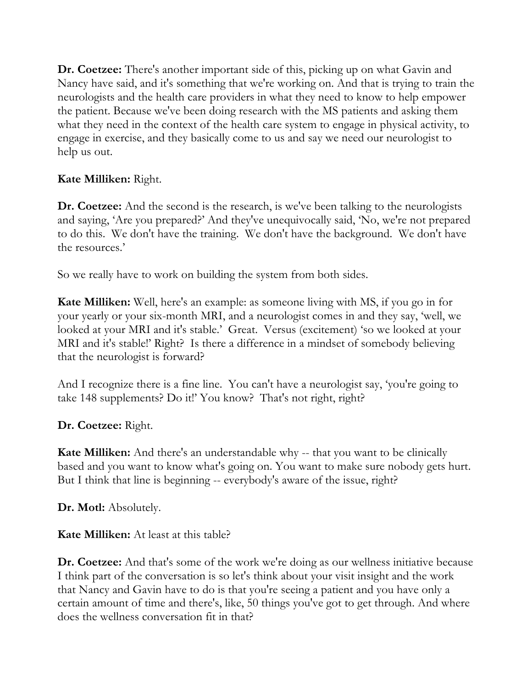**Dr. Coetzee:** There's another important side of this, picking up on what Gavin and Nancy have said, and it's something that we're working on. And that is trying to train the neurologists and the health care providers in what they need to know to help empower the patient. Because we've been doing research with the MS patients and asking them what they need in the context of the health care system to engage in physical activity, to engage in exercise, and they basically come to us and say we need our neurologist to help us out.

# **Kate Milliken:** Right.

**Dr. Coetzee:** And the second is the research, is we've been talking to the neurologists and saying, 'Are you prepared?' And they've unequivocally said, 'No, we're not prepared to do this. We don't have the training. We don't have the background. We don't have the resources.'

So we really have to work on building the system from both sides.

**Kate Milliken:** Well, here's an example: as someone living with MS, if you go in for your yearly or your six-month MRI, and a neurologist comes in and they say, 'well, we looked at your MRI and it's stable.' Great. Versus (excitement) 'so we looked at your MRI and it's stable!' Right? Is there a difference in a mindset of somebody believing that the neurologist is forward?

And I recognize there is a fine line. You can't have a neurologist say, 'you're going to take 148 supplements? Do it!' You know? That's not right, right?

**Dr. Coetzee:** Right.

**Kate Milliken:** And there's an understandable why -- that you want to be clinically based and you want to know what's going on. You want to make sure nobody gets hurt. But I think that line is beginning -- everybody's aware of the issue, right?

**Dr. Motl:** Absolutely.

**Kate Milliken:** At least at this table?

**Dr. Coetzee:** And that's some of the work we're doing as our wellness initiative because I think part of the conversation is so let's think about your visit insight and the work that Nancy and Gavin have to do is that you're seeing a patient and you have only a certain amount of time and there's, like, 50 things you've got to get through. And where does the wellness conversation fit in that?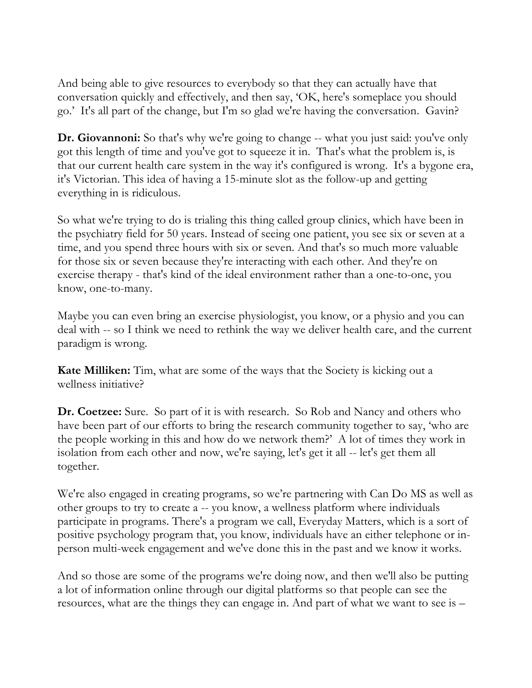And being able to give resources to everybody so that they can actually have that conversation quickly and effectively, and then say, 'OK, here's someplace you should go.' It's all part of the change, but I'm so glad we're having the conversation. Gavin?

**Dr. Giovannoni:** So that's why we're going to change -- what you just said: you've only got this length of time and you've got to squeeze it in. That's what the problem is, is that our current health care system in the way it's configured is wrong. It's a bygone era, it's Victorian. This idea of having a 15-minute slot as the follow-up and getting everything in is ridiculous.

So what we're trying to do is trialing this thing called group clinics, which have been in the psychiatry field for 50 years. Instead of seeing one patient, you see six or seven at a time, and you spend three hours with six or seven. And that's so much more valuable for those six or seven because they're interacting with each other. And they're on exercise therapy - that's kind of the ideal environment rather than a one-to-one, you know, one-to-many.

Maybe you can even bring an exercise physiologist, you know, or a physio and you can deal with -- so I think we need to rethink the way we deliver health care, and the current paradigm is wrong.

**Kate Milliken:** Tim, what are some of the ways that the Society is kicking out a wellness initiative?

**Dr. Coetzee:** Sure. So part of it is with research. So Rob and Nancy and others who have been part of our efforts to bring the research community together to say, 'who are the people working in this and how do we network them?' A lot of times they work in isolation from each other and now, we're saying, let's get it all -- let's get them all together.

We're also engaged in creating programs, so we're partnering with Can Do MS as well as other groups to try to create a -- you know, a wellness platform where individuals participate in programs. There's a program we call, Everyday Matters, which is a sort of positive psychology program that, you know, individuals have an either telephone or inperson multi-week engagement and we've done this in the past and we know it works.

And so those are some of the programs we're doing now, and then we'll also be putting a lot of information online through our digital platforms so that people can see the resources, what are the things they can engage in. And part of what we want to see is –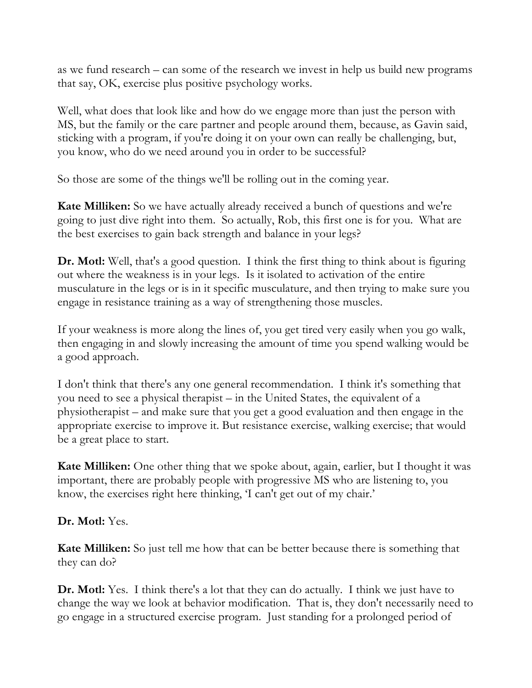as we fund research – can some of the research we invest in help us build new programs that say, OK, exercise plus positive psychology works.

Well, what does that look like and how do we engage more than just the person with MS, but the family or the care partner and people around them, because, as Gavin said, sticking with a program, if you're doing it on your own can really be challenging, but, you know, who do we need around you in order to be successful?

So those are some of the things we'll be rolling out in the coming year.

**Kate Milliken:** So we have actually already received a bunch of questions and we're going to just dive right into them. So actually, Rob, this first one is for you. What are the best exercises to gain back strength and balance in your legs?

**Dr. Motl:** Well, that's a good question. I think the first thing to think about is figuring out where the weakness is in your legs. Is it isolated to activation of the entire musculature in the legs or is in it specific musculature, and then trying to make sure you engage in resistance training as a way of strengthening those muscles.

If your weakness is more along the lines of, you get tired very easily when you go walk, then engaging in and slowly increasing the amount of time you spend walking would be a good approach.

I don't think that there's any one general recommendation. I think it's something that you need to see a physical therapist – in the United States, the equivalent of a physiotherapist – and make sure that you get a good evaluation and then engage in the appropriate exercise to improve it. But resistance exercise, walking exercise; that would be a great place to start.

**Kate Milliken:** One other thing that we spoke about, again, earlier, but I thought it was important, there are probably people with progressive MS who are listening to, you know, the exercises right here thinking, 'I can't get out of my chair.'

**Dr. Motl:** Yes.

**Kate Milliken:** So just tell me how that can be better because there is something that they can do?

**Dr. Motl:** Yes. I think there's a lot that they can do actually. I think we just have to change the way we look at behavior modification. That is, they don't necessarily need to go engage in a structured exercise program. Just standing for a prolonged period of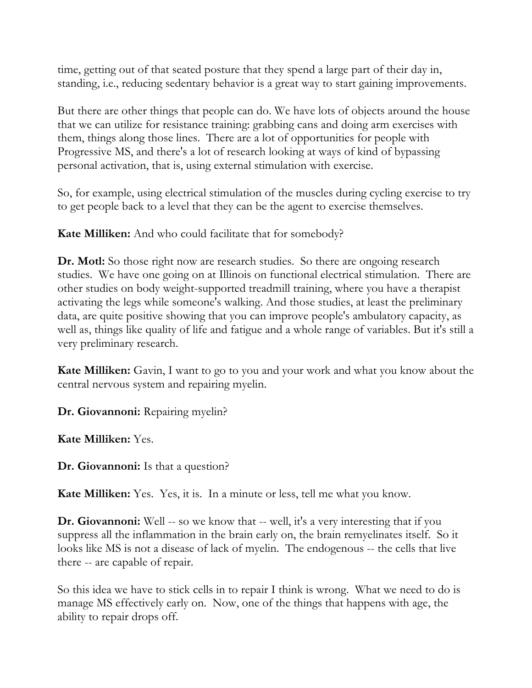time, getting out of that seated posture that they spend a large part of their day in, standing, i.e., reducing sedentary behavior is a great way to start gaining improvements.

But there are other things that people can do. We have lots of objects around the house that we can utilize for resistance training: grabbing cans and doing arm exercises with them, things along those lines. There are a lot of opportunities for people with Progressive MS, and there's a lot of research looking at ways of kind of bypassing personal activation, that is, using external stimulation with exercise.

So, for example, using electrical stimulation of the muscles during cycling exercise to try to get people back to a level that they can be the agent to exercise themselves.

**Kate Milliken:** And who could facilitate that for somebody?

**Dr. Motl:** So those right now are research studies. So there are ongoing research studies. We have one going on at Illinois on functional electrical stimulation. There are other studies on body weight-supported treadmill training, where you have a therapist activating the legs while someone's walking. And those studies, at least the preliminary data, are quite positive showing that you can improve people's ambulatory capacity, as well as, things like quality of life and fatigue and a whole range of variables. But it's still a very preliminary research.

**Kate Milliken:** Gavin, I want to go to you and your work and what you know about the central nervous system and repairing myelin.

**Dr. Giovannoni:** Repairing myelin?

**Kate Milliken:** Yes.

**Dr. Giovannoni:** Is that a question?

**Kate Milliken:** Yes. Yes, it is. In a minute or less, tell me what you know.

**Dr. Giovannoni:** Well -- so we know that -- well, it's a very interesting that if you suppress all the inflammation in the brain early on, the brain remyelinates itself. So it looks like MS is not a disease of lack of myelin. The endogenous -- the cells that live there -- are capable of repair.

So this idea we have to stick cells in to repair I think is wrong. What we need to do is manage MS effectively early on. Now, one of the things that happens with age, the ability to repair drops off.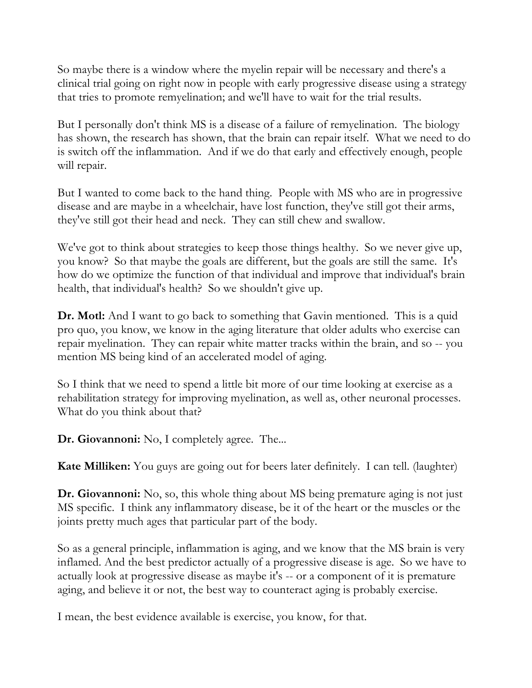So maybe there is a window where the myelin repair will be necessary and there's a clinical trial going on right now in people with early progressive disease using a strategy that tries to promote remyelination; and we'll have to wait for the trial results.

But I personally don't think MS is a disease of a failure of remyelination. The biology has shown, the research has shown, that the brain can repair itself. What we need to do is switch off the inflammation. And if we do that early and effectively enough, people will repair.

But I wanted to come back to the hand thing. People with MS who are in progressive disease and are maybe in a wheelchair, have lost function, they've still got their arms, they've still got their head and neck. They can still chew and swallow.

We've got to think about strategies to keep those things healthy. So we never give up, you know? So that maybe the goals are different, but the goals are still the same. It's how do we optimize the function of that individual and improve that individual's brain health, that individual's health? So we shouldn't give up.

**Dr. Motl:** And I want to go back to something that Gavin mentioned. This is a quid pro quo, you know, we know in the aging literature that older adults who exercise can repair myelination. They can repair white matter tracks within the brain, and so -- you mention MS being kind of an accelerated model of aging.

So I think that we need to spend a little bit more of our time looking at exercise as a rehabilitation strategy for improving myelination, as well as, other neuronal processes. What do you think about that?

**Dr. Giovannoni:** No, I completely agree. The...

**Kate Milliken:** You guys are going out for beers later definitely. I can tell. (laughter)

**Dr. Giovannoni:** No, so, this whole thing about MS being premature aging is not just MS specific. I think any inflammatory disease, be it of the heart or the muscles or the joints pretty much ages that particular part of the body.

So as a general principle, inflammation is aging, and we know that the MS brain is very inflamed. And the best predictor actually of a progressive disease is age. So we have to actually look at progressive disease as maybe it's -- or a component of it is premature aging, and believe it or not, the best way to counteract aging is probably exercise.

I mean, the best evidence available is exercise, you know, for that.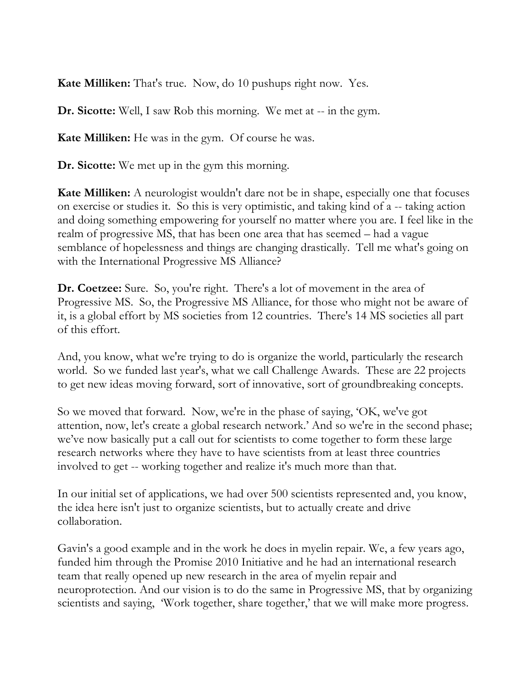**Kate Milliken:** That's true. Now, do 10 pushups right now. Yes.

**Dr. Sicotte:** Well, I saw Rob this morning. We met at -- in the gym.

**Kate Milliken:** He was in the gym. Of course he was.

**Dr. Sicotte:** We met up in the gym this morning.

**Kate Milliken:** A neurologist wouldn't dare not be in shape, especially one that focuses on exercise or studies it. So this is very optimistic, and taking kind of a -- taking action and doing something empowering for yourself no matter where you are. I feel like in the realm of progressive MS, that has been one area that has seemed – had a vague semblance of hopelessness and things are changing drastically. Tell me what's going on with the International Progressive MS Alliance?

**Dr. Coetzee:** Sure. So, you're right. There's a lot of movement in the area of Progressive MS. So, the Progressive MS Alliance, for those who might not be aware of it, is a global effort by MS societies from 12 countries. There's 14 MS societies all part of this effort.

And, you know, what we're trying to do is organize the world, particularly the research world. So we funded last year's, what we call Challenge Awards. These are 22 projects to get new ideas moving forward, sort of innovative, sort of groundbreaking concepts.

So we moved that forward. Now, we're in the phase of saying, 'OK, we've got attention, now, let's create a global research network.' And so we're in the second phase; we've now basically put a call out for scientists to come together to form these large research networks where they have to have scientists from at least three countries involved to get -- working together and realize it's much more than that.

In our initial set of applications, we had over 500 scientists represented and, you know, the idea here isn't just to organize scientists, but to actually create and drive collaboration.

Gavin's a good example and in the work he does in myelin repair. We, a few years ago, funded him through the Promise 2010 Initiative and he had an international research team that really opened up new research in the area of myelin repair and neuroprotection. And our vision is to do the same in Progressive MS, that by organizing scientists and saying, 'Work together, share together,' that we will make more progress.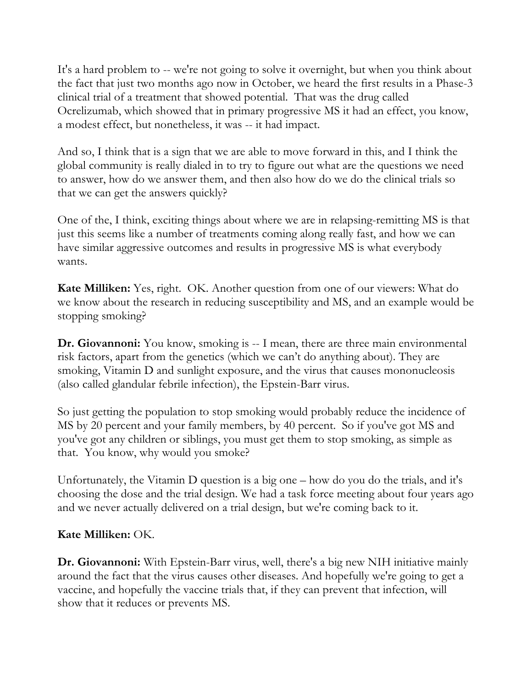It's a hard problem to -- we're not going to solve it overnight, but when you think about the fact that just two months ago now in October, we heard the first results in a Phase-3 clinical trial of a treatment that showed potential. That was the drug called Ocrelizumab, which showed that in primary progressive MS it had an effect, you know, a modest effect, but nonetheless, it was -- it had impact.

And so, I think that is a sign that we are able to move forward in this, and I think the global community is really dialed in to try to figure out what are the questions we need to answer, how do we answer them, and then also how do we do the clinical trials so that we can get the answers quickly?

One of the, I think, exciting things about where we are in relapsing-remitting MS is that just this seems like a number of treatments coming along really fast, and how we can have similar aggressive outcomes and results in progressive MS is what everybody wants.

**Kate Milliken:** Yes, right. OK. Another question from one of our viewers: What do we know about the research in reducing susceptibility and MS, and an example would be stopping smoking?

**Dr. Giovannoni:** You know, smoking is -- I mean, there are three main environmental risk factors, apart from the genetics (which we can't do anything about). They are smoking, Vitamin D and sunlight exposure, and the virus that causes mononucleosis (also called glandular febrile infection), the Epstein-Barr virus.

So just getting the population to stop smoking would probably reduce the incidence of MS by 20 percent and your family members, by 40 percent. So if you've got MS and you've got any children or siblings, you must get them to stop smoking, as simple as that. You know, why would you smoke?

Unfortunately, the Vitamin D question is a big one – how do you do the trials, and it's choosing the dose and the trial design. We had a task force meeting about four years ago and we never actually delivered on a trial design, but we're coming back to it.

## **Kate Milliken:** OK.

**Dr. Giovannoni:** With Epstein-Barr virus, well, there's a big new NIH initiative mainly around the fact that the virus causes other diseases. And hopefully we're going to get a vaccine, and hopefully the vaccine trials that, if they can prevent that infection, will show that it reduces or prevents MS.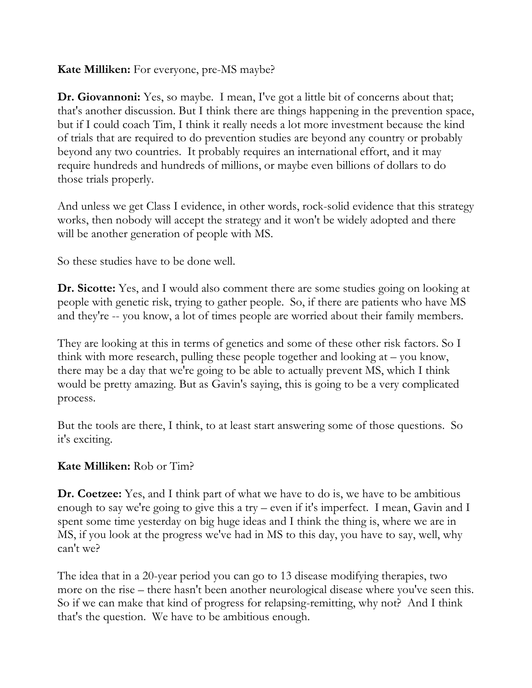### **Kate Milliken:** For everyone, pre-MS maybe?

**Dr. Giovannoni:** Yes, so maybe. I mean, I've got a little bit of concerns about that; that's another discussion. But I think there are things happening in the prevention space, but if I could coach Tim, I think it really needs a lot more investment because the kind of trials that are required to do prevention studies are beyond any country or probably beyond any two countries. It probably requires an international effort, and it may require hundreds and hundreds of millions, or maybe even billions of dollars to do those trials properly.

And unless we get Class I evidence, in other words, rock-solid evidence that this strategy works, then nobody will accept the strategy and it won't be widely adopted and there will be another generation of people with MS.

So these studies have to be done well.

**Dr. Sicotte:** Yes, and I would also comment there are some studies going on looking at people with genetic risk, trying to gather people. So, if there are patients who have MS and they're -- you know, a lot of times people are worried about their family members.

They are looking at this in terms of genetics and some of these other risk factors. So I think with more research, pulling these people together and looking at – you know, there may be a day that we're going to be able to actually prevent MS, which I think would be pretty amazing. But as Gavin's saying, this is going to be a very complicated process.

But the tools are there, I think, to at least start answering some of those questions. So it's exciting.

### **Kate Milliken:** Rob or Tim?

**Dr. Coetzee:** Yes, and I think part of what we have to do is, we have to be ambitious enough to say we're going to give this a try – even if it's imperfect. I mean, Gavin and I spent some time yesterday on big huge ideas and I think the thing is, where we are in MS, if you look at the progress we've had in MS to this day, you have to say, well, why can't we?

The idea that in a 20-year period you can go to 13 disease modifying therapies, two more on the rise – there hasn't been another neurological disease where you've seen this. So if we can make that kind of progress for relapsing-remitting, why not? And I think that's the question. We have to be ambitious enough.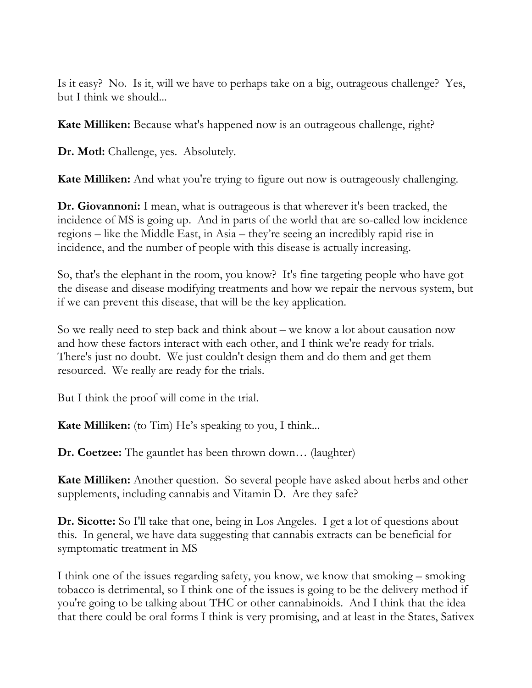Is it easy? No. Is it, will we have to perhaps take on a big, outrageous challenge? Yes, but I think we should...

**Kate Milliken:** Because what's happened now is an outrageous challenge, right?

**Dr. Motl:** Challenge, yes. Absolutely.

**Kate Milliken:** And what you're trying to figure out now is outrageously challenging.

**Dr. Giovannoni:** I mean, what is outrageous is that wherever it's been tracked, the incidence of MS is going up. And in parts of the world that are so-called low incidence regions – like the Middle East, in Asia – they're seeing an incredibly rapid rise in incidence, and the number of people with this disease is actually increasing.

So, that's the elephant in the room, you know? It's fine targeting people who have got the disease and disease modifying treatments and how we repair the nervous system, but if we can prevent this disease, that will be the key application.

So we really need to step back and think about – we know a lot about causation now and how these factors interact with each other, and I think we're ready for trials. There's just no doubt. We just couldn't design them and do them and get them resourced. We really are ready for the trials.

But I think the proof will come in the trial.

**Kate Milliken:** (to Tim) He's speaking to you, I think...

**Dr. Coetzee:** The gauntlet has been thrown down… (laughter)

**Kate Milliken:** Another question. So several people have asked about herbs and other supplements, including cannabis and Vitamin D. Are they safe?

**Dr. Sicotte:** So I'll take that one, being in Los Angeles. I get a lot of questions about this. In general, we have data suggesting that cannabis extracts can be beneficial for symptomatic treatment in MS

I think one of the issues regarding safety, you know, we know that smoking – smoking tobacco is detrimental, so I think one of the issues is going to be the delivery method if you're going to be talking about THC or other cannabinoids. And I think that the idea that there could be oral forms I think is very promising, and at least in the States, Sativex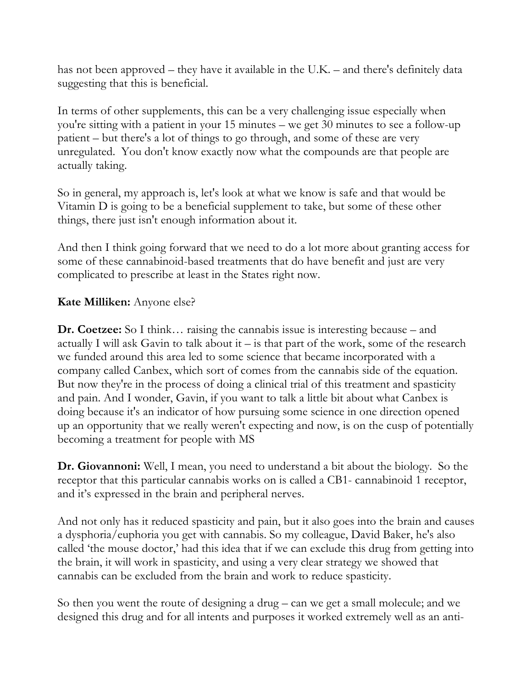has not been approved – they have it available in the U.K. – and there's definitely data suggesting that this is beneficial.

In terms of other supplements, this can be a very challenging issue especially when you're sitting with a patient in your 15 minutes – we get 30 minutes to see a follow-up patient – but there's a lot of things to go through, and some of these are very unregulated. You don't know exactly now what the compounds are that people are actually taking.

So in general, my approach is, let's look at what we know is safe and that would be Vitamin D is going to be a beneficial supplement to take, but some of these other things, there just isn't enough information about it.

And then I think going forward that we need to do a lot more about granting access for some of these cannabinoid-based treatments that do have benefit and just are very complicated to prescribe at least in the States right now.

## **Kate Milliken:** Anyone else?

**Dr. Coetzee:** So I think... raising the cannabis issue is interesting because – and actually I will ask Gavin to talk about it – is that part of the work, some of the research we funded around this area led to some science that became incorporated with a company called Canbex, which sort of comes from the cannabis side of the equation. But now they're in the process of doing a clinical trial of this treatment and spasticity and pain. And I wonder, Gavin, if you want to talk a little bit about what Canbex is doing because it's an indicator of how pursuing some science in one direction opened up an opportunity that we really weren't expecting and now, is on the cusp of potentially becoming a treatment for people with MS

**Dr. Giovannoni:** Well, I mean, you need to understand a bit about the biology. So the receptor that this particular cannabis works on is called a CB1- cannabinoid 1 receptor, and it's expressed in the brain and peripheral nerves.

And not only has it reduced spasticity and pain, but it also goes into the brain and causes a dysphoria/euphoria you get with cannabis. So my colleague, David Baker, he's also called 'the mouse doctor,' had this idea that if we can exclude this drug from getting into the brain, it will work in spasticity, and using a very clear strategy we showed that cannabis can be excluded from the brain and work to reduce spasticity.

So then you went the route of designing a drug – can we get a small molecule; and we designed this drug and for all intents and purposes it worked extremely well as an anti-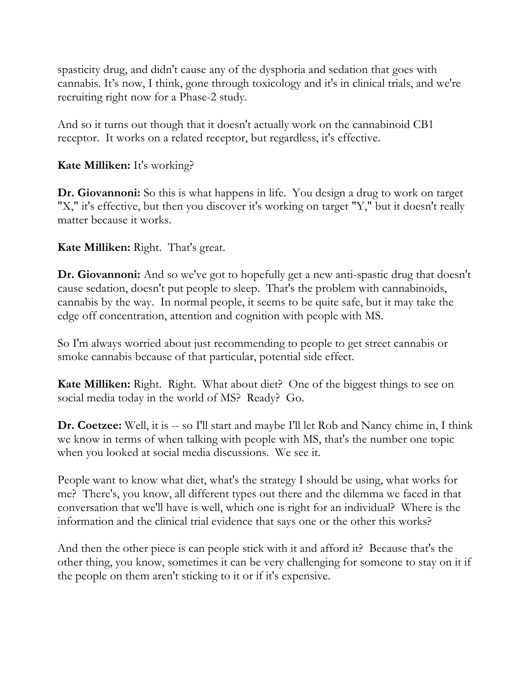spasticity drug, and didn't cause any of the dysphoria and sedation that goes with cannabis. It's now, I think, gone through toxicology and it's in clinical trials, and we're recruiting right now for a Phase-2 study.

And so it turns out though that it doesn't actually work on the cannabinoid CB1 receptor. It works on a related receptor, but regardless, it's effective.

**Kate Milliken:** It's working?

**Dr. Giovannoni:** So this is what happens in life. You design a drug to work on target "X," it's effective, but then you discover it's working on target "Y," but it doesn't really matter because it works.

**Kate Milliken:** Right. That's great.

**Dr. Giovannoni:** And so we've got to hopefully get a new anti-spastic drug that doesn't cause sedation, doesn't put people to sleep. That's the problem with cannabinoids, cannabis by the way. In normal people, it seems to be quite safe, but it may take the edge off concentration, attention and cognition with people with MS.

So I'm always worried about just recommending to people to get street cannabis or smoke cannabis because of that particular, potential side effect.

**Kate Milliken:** Right. Right. What about diet? One of the biggest things to see on social media today in the world of MS? Ready? Go.

**Dr. Coetzee:** Well, it is -- so I'll start and maybe I'll let Rob and Nancy chime in, I think we know in terms of when talking with people with MS, that's the number one topic when you looked at social media discussions. We see it.

People want to know what diet, what's the strategy I should be using, what works for me? There's, you know, all different types out there and the dilemma we faced in that conversation that we'll have is well, which one is right for an individual? Where is the information and the clinical trial evidence that says one or the other this works?

And then the other piece is can people stick with it and afford it? Because that's the other thing, you know, sometimes it can be very challenging for someone to stay on it if the people on them aren't sticking to it or if it's expensive.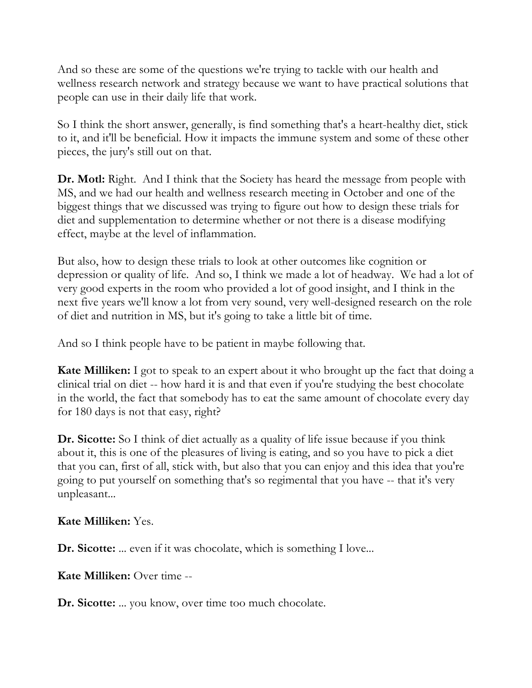And so these are some of the questions we're trying to tackle with our health and wellness research network and strategy because we want to have practical solutions that people can use in their daily life that work.

So I think the short answer, generally, is find something that's a heart-healthy diet, stick to it, and it'll be beneficial. How it impacts the immune system and some of these other pieces, the jury's still out on that.

**Dr. Motl:** Right. And I think that the Society has heard the message from people with MS, and we had our health and wellness research meeting in October and one of the biggest things that we discussed was trying to figure out how to design these trials for diet and supplementation to determine whether or not there is a disease modifying effect, maybe at the level of inflammation.

But also, how to design these trials to look at other outcomes like cognition or depression or quality of life. And so, I think we made a lot of headway. We had a lot of very good experts in the room who provided a lot of good insight, and I think in the next five years we'll know a lot from very sound, very well-designed research on the role of diet and nutrition in MS, but it's going to take a little bit of time.

And so I think people have to be patient in maybe following that.

**Kate Milliken:** I got to speak to an expert about it who brought up the fact that doing a clinical trial on diet -- how hard it is and that even if you're studying the best chocolate in the world, the fact that somebody has to eat the same amount of chocolate every day for 180 days is not that easy, right?

**Dr. Sicotte:** So I think of diet actually as a quality of life issue because if you think about it, this is one of the pleasures of living is eating, and so you have to pick a diet that you can, first of all, stick with, but also that you can enjoy and this idea that you're going to put yourself on something that's so regimental that you have -- that it's very unpleasant...

**Kate Milliken:** Yes.

**Dr. Sicotte:** ... even if it was chocolate, which is something I love...

**Kate Milliken:** Over time --

**Dr. Sicotte:** ... you know, over time too much chocolate.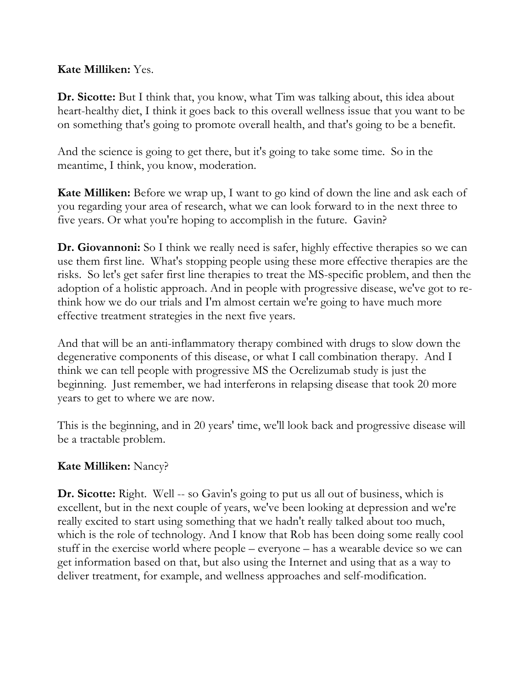### **Kate Milliken:** Yes.

**Dr. Sicotte:** But I think that, you know, what Tim was talking about, this idea about heart-healthy diet, I think it goes back to this overall wellness issue that you want to be on something that's going to promote overall health, and that's going to be a benefit.

And the science is going to get there, but it's going to take some time. So in the meantime, I think, you know, moderation.

**Kate Milliken:** Before we wrap up, I want to go kind of down the line and ask each of you regarding your area of research, what we can look forward to in the next three to five years. Or what you're hoping to accomplish in the future. Gavin?

**Dr. Giovannoni:** So I think we really need is safer, highly effective therapies so we can use them first line. What's stopping people using these more effective therapies are the risks. So let's get safer first line therapies to treat the MS-specific problem, and then the adoption of a holistic approach. And in people with progressive disease, we've got to rethink how we do our trials and I'm almost certain we're going to have much more effective treatment strategies in the next five years.

And that will be an anti-inflammatory therapy combined with drugs to slow down the degenerative components of this disease, or what I call combination therapy. And I think we can tell people with progressive MS the Ocrelizumab study is just the beginning. Just remember, we had interferons in relapsing disease that took 20 more years to get to where we are now.

This is the beginning, and in 20 years' time, we'll look back and progressive disease will be a tractable problem.

### **Kate Milliken:** Nancy?

**Dr. Sicotte:** Right. Well -- so Gavin's going to put us all out of business, which is excellent, but in the next couple of years, we've been looking at depression and we're really excited to start using something that we hadn't really talked about too much, which is the role of technology. And I know that Rob has been doing some really cool stuff in the exercise world where people – everyone – has a wearable device so we can get information based on that, but also using the Internet and using that as a way to deliver treatment, for example, and wellness approaches and self-modification.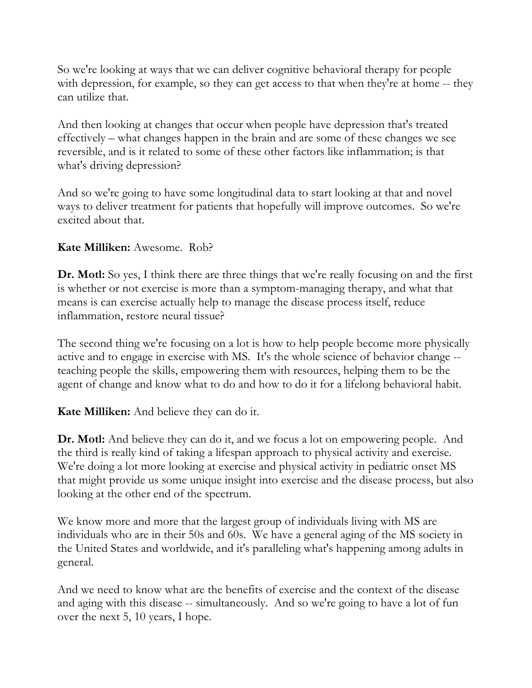So we're looking at ways that we can deliver cognitive behavioral therapy for people with depression, for example, so they can get access to that when they're at home -- they can utilize that.

And then looking at changes that occur when people have depression that's treated effectively – what changes happen in the brain and are some of these changes we see reversible, and is it related to some of these other factors like inflammation; is that what's driving depression?

And so we're going to have some longitudinal data to start looking at that and novel ways to deliver treatment for patients that hopefully will improve outcomes. So we're excited about that.

## **Kate Milliken:** Awesome. Rob?

**Dr. Motl:** So yes, I think there are three things that we're really focusing on and the first is whether or not exercise is more than a symptom-managing therapy, and what that means is can exercise actually help to manage the disease process itself, reduce inflammation, restore neural tissue?

The second thing we're focusing on a lot is how to help people become more physically active and to engage in exercise with MS. It's the whole science of behavior change - teaching people the skills, empowering them with resources, helping them to be the agent of change and know what to do and how to do it for a lifelong behavioral habit.

**Kate Milliken:** And believe they can do it.

**Dr. Motl:** And believe they can do it, and we focus a lot on empowering people. And the third is really kind of taking a lifespan approach to physical activity and exercise. We're doing a lot more looking at exercise and physical activity in pediatric onset MS that might provide us some unique insight into exercise and the disease process, but also looking at the other end of the spectrum.

We know more and more that the largest group of individuals living with MS are individuals who are in their 50s and 60s. We have a general aging of the MS society in the United States and worldwide, and it's paralleling what's happening among adults in general.

And we need to know what are the benefits of exercise and the context of the disease and aging with this disease -- simultaneously. And so we're going to have a lot of fun over the next 5, 10 years, I hope.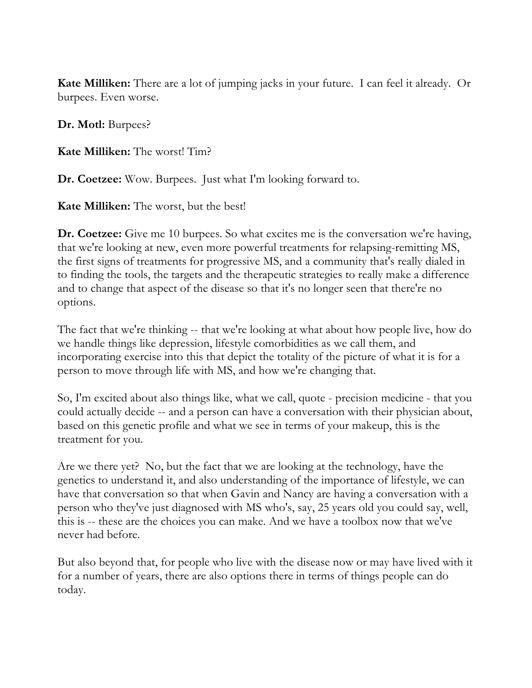**Kate Milliken:** There are a lot of jumping jacks in your future. I can feel it already. Or burpees. Even worse.

**Dr. Motl:** Burpees?

**Kate Milliken:** The worst! Tim?

**Dr. Coetzee:** Wow. Burpees. Just what I'm looking forward to.

**Kate Milliken:** The worst, but the best!

**Dr. Coetzee:** Give me 10 burpees. So what excites me is the conversation we're having, that we're looking at new, even more powerful treatments for relapsing-remitting MS, the first signs of treatments for progressive MS, and a community that's really dialed in to finding the tools, the targets and the therapeutic strategies to really make a difference and to change that aspect of the disease so that it's no longer seen that there're no options.

The fact that we're thinking -- that we're looking at what about how people live, how do we handle things like depression, lifestyle comorbidities as we call them, and incorporating exercise into this that depict the totality of the picture of what it is for a person to move through life with MS, and how we're changing that.

So, I'm excited about also things like, what we call, quote - precision medicine - that you could actually decide -- and a person can have a conversation with their physician about, based on this genetic profile and what we see in terms of your makeup, this is the treatment for you.

Are we there yet? No, but the fact that we are looking at the technology, have the genetics to understand it, and also understanding of the importance of lifestyle, we can have that conversation so that when Gavin and Nancy are having a conversation with a person who they've just diagnosed with MS who's, say, 25 years old you could say, well, this is -- these are the choices you can make. And we have a toolbox now that we've never had before.

But also beyond that, for people who live with the disease now or may have lived with it for a number of years, there are also options there in terms of things people can do today.